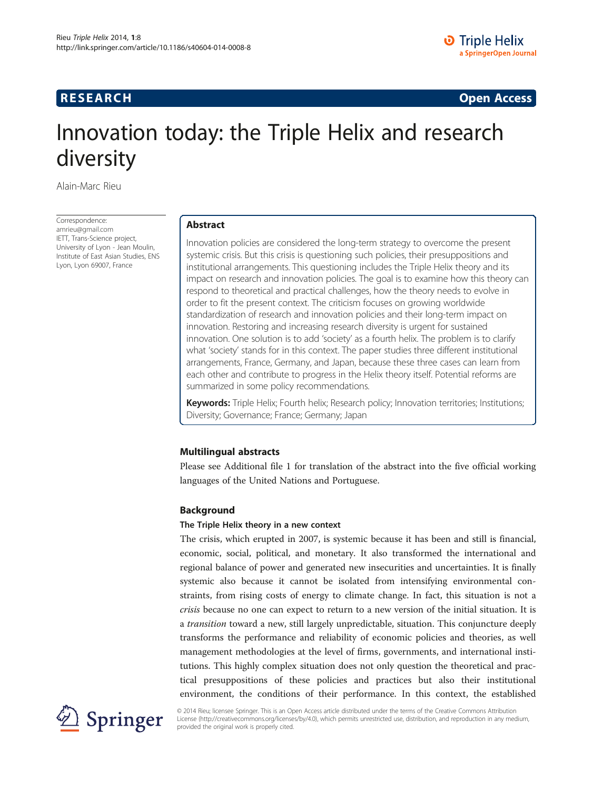**RESEARCH RESEARCH CONSUMING ACCESS** 

# Innovation today: the Triple Helix and research diversity

Alain-Marc Rieu

Correspondence: [amrieu@gmail.com](mailto:amrieu@gmail.com) IETT, Trans-Science project, University of Lyon - Jean Moulin, Institute of East Asian Studies, ENS Lyon, Lyon 69007, France

# Abstract

Innovation policies are considered the long-term strategy to overcome the present systemic crisis. But this crisis is questioning such policies, their presuppositions and institutional arrangements. This questioning includes the Triple Helix theory and its impact on research and innovation policies. The goal is to examine how this theory can respond to theoretical and practical challenges, how the theory needs to evolve in order to fit the present context. The criticism focuses on growing worldwide standardization of research and innovation policies and their long-term impact on innovation. Restoring and increasing research diversity is urgent for sustained innovation. One solution is to add 'society' as a fourth helix. The problem is to clarify what 'society' stands for in this context. The paper studies three different institutional arrangements, France, Germany, and Japan, because these three cases can learn from each other and contribute to progress in the Helix theory itself. Potential reforms are summarized in some policy recommendations.

Keywords: Triple Helix; Fourth helix; Research policy; Innovation territories; Institutions; Diversity; Governance; France; Germany; Japan

# Multilingual abstracts

Please see Additional file [1](#page-20-0) for translation of the abstract into the five official working languages of the United Nations and Portuguese.

# Background

## The Triple Helix theory in a new context

The crisis, which erupted in 2007, is systemic because it has been and still is financial, economic, social, political, and monetary. It also transformed the international and regional balance of power and generated new insecurities and uncertainties. It is finally systemic also because it cannot be isolated from intensifying environmental constraints, from rising costs of energy to climate change. In fact, this situation is not a crisis because no one can expect to return to a new version of the initial situation. It is a transition toward a new, still largely unpredictable, situation. This conjuncture deeply transforms the performance and reliability of economic policies and theories, as well management methodologies at the level of firms, governments, and international institutions. This highly complex situation does not only question the theoretical and practical presuppositions of these policies and practices but also their institutional environment, the conditions of their performance. In this context, the established



© 2014 Rieu; licensee Springer. This is an Open Access article distributed under the terms of the Creative Commons Attribution License [\(http://creativecommons.org/licenses/by/4.0\)](http://creativecommons.org/licenses/by/4.0), which permits unrestricted use, distribution, and reproduction in any medium, provided the original work is properly cited.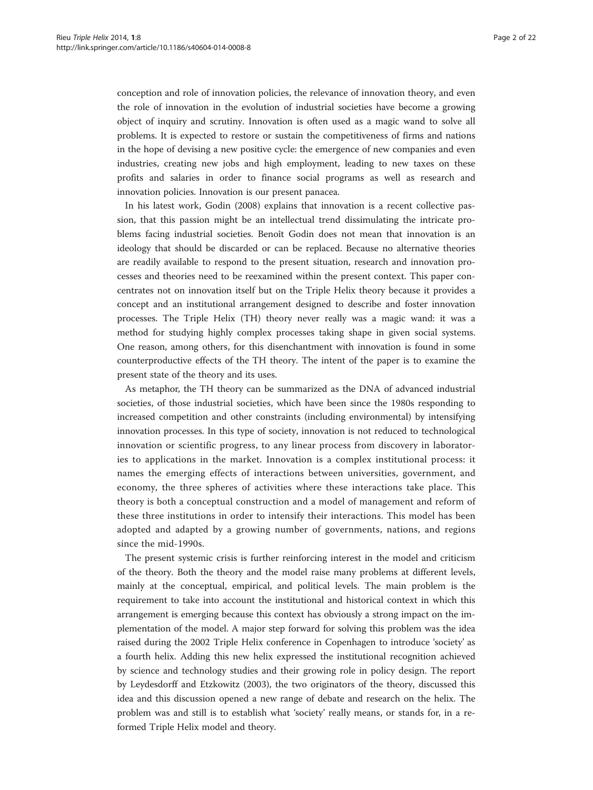conception and role of innovation policies, the relevance of innovation theory, and even the role of innovation in the evolution of industrial societies have become a growing object of inquiry and scrutiny. Innovation is often used as a magic wand to solve all problems. It is expected to restore or sustain the competitiveness of firms and nations in the hope of devising a new positive cycle: the emergence of new companies and even industries, creating new jobs and high employment, leading to new taxes on these profits and salaries in order to finance social programs as well as research and innovation policies. Innovation is our present panacea.

In his latest work, Godin ([2008\)](#page-20-0) explains that innovation is a recent collective passion, that this passion might be an intellectual trend dissimulating the intricate problems facing industrial societies. Benoît Godin does not mean that innovation is an ideology that should be discarded or can be replaced. Because no alternative theories are readily available to respond to the present situation, research and innovation processes and theories need to be reexamined within the present context. This paper concentrates not on innovation itself but on the Triple Helix theory because it provides a concept and an institutional arrangement designed to describe and foster innovation processes. The Triple Helix (TH) theory never really was a magic wand: it was a method for studying highly complex processes taking shape in given social systems. One reason, among others, for this disenchantment with innovation is found in some counterproductive effects of the TH theory. The intent of the paper is to examine the present state of the theory and its uses.

As metaphor, the TH theory can be summarized as the DNA of advanced industrial societies, of those industrial societies, which have been since the 1980s responding to increased competition and other constraints (including environmental) by intensifying innovation processes. In this type of society, innovation is not reduced to technological innovation or scientific progress, to any linear process from discovery in laboratories to applications in the market. Innovation is a complex institutional process: it names the emerging effects of interactions between universities, government, and economy, the three spheres of activities where these interactions take place. This theory is both a conceptual construction and a model of management and reform of these three institutions in order to intensify their interactions. This model has been adopted and adapted by a growing number of governments, nations, and regions since the mid-1990s.

The present systemic crisis is further reinforcing interest in the model and criticism of the theory. Both the theory and the model raise many problems at different levels, mainly at the conceptual, empirical, and political levels. The main problem is the requirement to take into account the institutional and historical context in which this arrangement is emerging because this context has obviously a strong impact on the implementation of the model. A major step forward for solving this problem was the idea raised during the 2002 Triple Helix conference in Copenhagen to introduce 'society' as a fourth helix. Adding this new helix expressed the institutional recognition achieved by science and technology studies and their growing role in policy design. The report by Leydesdorff and Etzkowitz ([2003](#page-20-0)), the two originators of the theory, discussed this idea and this discussion opened a new range of debate and research on the helix. The problem was and still is to establish what 'society' really means, or stands for, in a reformed Triple Helix model and theory.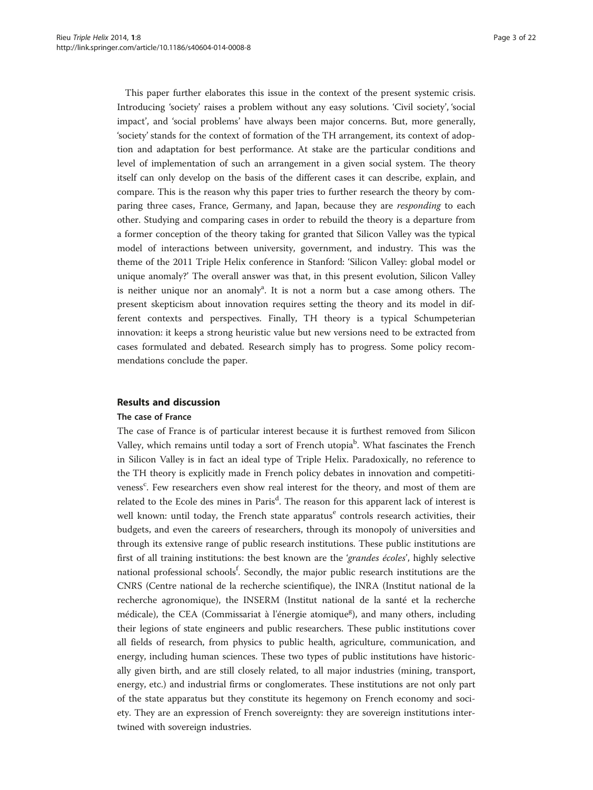This paper further elaborates this issue in the context of the present systemic crisis. Introducing 'society' raises a problem without any easy solutions. 'Civil society', 'social impact', and 'social problems' have always been major concerns. But, more generally, 'society' stands for the context of formation of the TH arrangement, its context of adoption and adaptation for best performance. At stake are the particular conditions and level of implementation of such an arrangement in a given social system. The theory itself can only develop on the basis of the different cases it can describe, explain, and compare. This is the reason why this paper tries to further research the theory by comparing three cases, France, Germany, and Japan, because they are *responding* to each other. Studying and comparing cases in order to rebuild the theory is a departure from a former conception of the theory taking for granted that Silicon Valley was the typical model of interactions between university, government, and industry. This was the theme of the 2011 Triple Helix conference in Stanford: 'Silicon Valley: global model or unique anomaly?' The overall answer was that, in this present evolution, Silicon Valley is neither unique nor an anomaly<sup>a</sup>. It is not a norm but a case among others. The present skepticism about innovation requires setting the theory and its model in different contexts and perspectives. Finally, TH theory is a typical Schumpeterian innovation: it keeps a strong heuristic value but new versions need to be extracted from cases formulated and debated. Research simply has to progress. Some policy recommendations conclude the paper.

# Results and discussion

#### The case of France

The case of France is of particular interest because it is furthest removed from Silicon Valley, which remains until today a sort of French utopia<sup>b</sup>. What fascinates the French in Silicon Valley is in fact an ideal type of Triple Helix. Paradoxically, no reference to the TH theory is explicitly made in French policy debates in innovation and competitiveness<sup>c</sup>. Few researchers even show real interest for the theory, and most of them are related to the Ecole des mines in Paris<sup>d</sup>. The reason for this apparent lack of interest is well known: until today, the French state apparatus<sup>e</sup> controls research activities, their budgets, and even the careers of researchers, through its monopoly of universities and through its extensive range of public research institutions. These public institutions are first of all training institutions: the best known are the 'grandes écoles', highly selective national professional schools<sup>f</sup>. Secondly, the major public research institutions are the CNRS (Centre national de la recherche scientifique), the INRA (Institut national de la recherche agronomique), the INSERM (Institut national de la santé et la recherche médicale), the CEA (Commissariat à l'énergie atomique<sup>g</sup>), and many others, including their legions of state engineers and public researchers. These public institutions cover all fields of research, from physics to public health, agriculture, communication, and energy, including human sciences. These two types of public institutions have historically given birth, and are still closely related, to all major industries (mining, transport, energy, etc.) and industrial firms or conglomerates. These institutions are not only part of the state apparatus but they constitute its hegemony on French economy and society. They are an expression of French sovereignty: they are sovereign institutions intertwined with sovereign industries.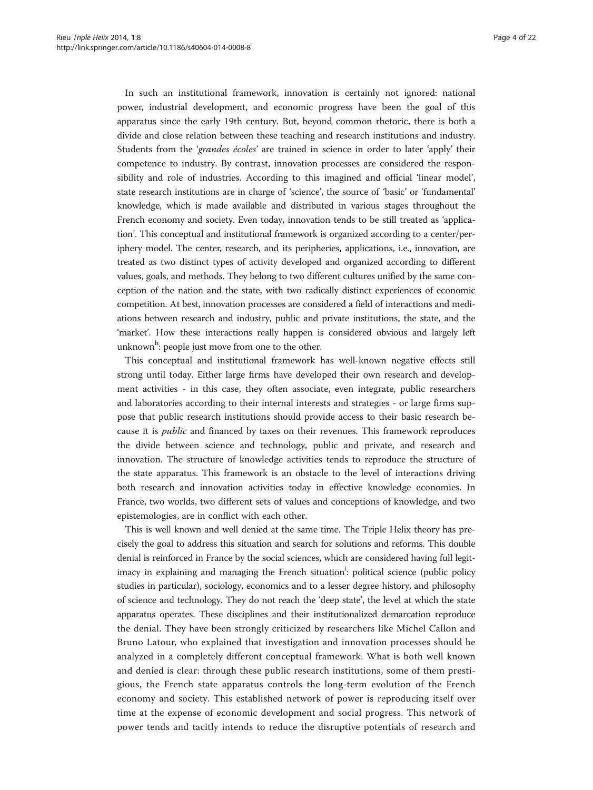In such an institutional framework, innovation is certainly not ignored: national power, industrial development, and economic progress have been the goal of this apparatus since the early 19th century. But, beyond common rhetoric, there is both a divide and close relation between these teaching and research institutions and industry. Students from the 'grandes écoles' are trained in science in order to later 'apply' their competence to industry. By contrast, innovation processes are considered the responsibility and role of industries. According to this imagined and official 'linear model', state research institutions are in charge of 'science', the source of 'basic' or 'fundamental' knowledge, which is made available and distributed in various stages throughout the French economy and society. Even today, innovation tends to be still treated as 'application'. This conceptual and institutional framework is organized according to a center/periphery model. The center, research, and its peripheries, applications, i.e., innovation, are treated as two distinct types of activity developed and organized according to different values, goals, and methods. They belong to two different cultures unified by the same conception of the nation and the state, with two radically distinct experiences of economic competition. At best, innovation processes are considered a field of interactions and mediations between research and industry, public and private institutions, the state, and the 'market'. How these interactions really happen is considered obvious and largely left unknown<sup>h</sup>: people just move from one to the other.

This conceptual and institutional framework has well-known negative effects still strong until today. Either large firms have developed their own research and development activities - in this case, they often associate, even integrate, public researchers and laboratories according to their internal interests and strategies - or large firms suppose that public research institutions should provide access to their basic research because it is public and financed by taxes on their revenues. This framework reproduces the divide between science and technology, public and private, and research and innovation. The structure of knowledge activities tends to reproduce the structure of the state apparatus. This framework is an obstacle to the level of interactions driving both research and innovation activities today in effective knowledge economies. In France, two worlds, two different sets of values and conceptions of knowledge, and two epistemologies, are in conflict with each other.

This is well known and well denied at the same time. The Triple Helix theory has precisely the goal to address this situation and search for solutions and reforms. This double denial is reinforced in France by the social sciences, which are considered having full legitimacy in explaining and managing the French situation<sup>i</sup>: political science (public policy studies in particular), sociology, economics and to a lesser degree history, and philosophy of science and technology. They do not reach the 'deep state', the level at which the state apparatus operates. These disciplines and their institutionalized demarcation reproduce the denial. They have been strongly criticized by researchers like Michel Callon and Bruno Latour, who explained that investigation and innovation processes should be analyzed in a completely different conceptual framework. What is both well known and denied is clear: through these public research institutions, some of them prestigious, the French state apparatus controls the long-term evolution of the French economy and society. This established network of power is reproducing itself over time at the expense of economic development and social progress. This network of power tends and tacitly intends to reduce the disruptive potentials of research and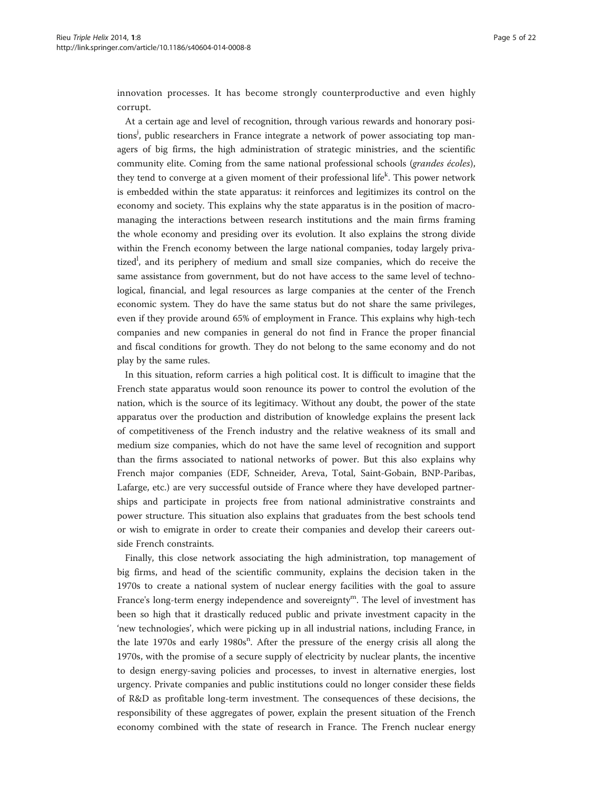innovation processes. It has become strongly counterproductive and even highly corrupt.

At a certain age and level of recognition, through various rewards and honorary positions<sup>j</sup>, public researchers in France integrate a network of power associating top managers of big firms, the high administration of strategic ministries, and the scientific community elite. Coming from the same national professional schools (grandes écoles), they tend to converge at a given moment of their professional life<sup>k</sup>. This power network is embedded within the state apparatus: it reinforces and legitimizes its control on the economy and society. This explains why the state apparatus is in the position of macromanaging the interactions between research institutions and the main firms framing the whole economy and presiding over its evolution. It also explains the strong divide within the French economy between the large national companies, today largely privatized<sup>1</sup>, and its periphery of medium and small size companies, which do receive the same assistance from government, but do not have access to the same level of technological, financial, and legal resources as large companies at the center of the French economic system. They do have the same status but do not share the same privileges, even if they provide around 65% of employment in France. This explains why high-tech companies and new companies in general do not find in France the proper financial and fiscal conditions for growth. They do not belong to the same economy and do not play by the same rules.

In this situation, reform carries a high political cost. It is difficult to imagine that the French state apparatus would soon renounce its power to control the evolution of the nation, which is the source of its legitimacy. Without any doubt, the power of the state apparatus over the production and distribution of knowledge explains the present lack of competitiveness of the French industry and the relative weakness of its small and medium size companies, which do not have the same level of recognition and support than the firms associated to national networks of power. But this also explains why French major companies (EDF, Schneider, Areva, Total, Saint-Gobain, BNP-Paribas, Lafarge, etc.) are very successful outside of France where they have developed partnerships and participate in projects free from national administrative constraints and power structure. This situation also explains that graduates from the best schools tend or wish to emigrate in order to create their companies and develop their careers outside French constraints.

Finally, this close network associating the high administration, top management of big firms, and head of the scientific community, explains the decision taken in the 1970s to create a national system of nuclear energy facilities with the goal to assure France's long-term energy independence and sovereignty $<sup>m</sup>$ . The level of investment has</sup> been so high that it drastically reduced public and private investment capacity in the 'new technologies', which were picking up in all industrial nations, including France, in the late 1970s and early 1980s<sup>n</sup>. After the pressure of the energy crisis all along the 1970s, with the promise of a secure supply of electricity by nuclear plants, the incentive to design energy-saving policies and processes, to invest in alternative energies, lost urgency. Private companies and public institutions could no longer consider these fields of R&D as profitable long-term investment. The consequences of these decisions, the responsibility of these aggregates of power, explain the present situation of the French economy combined with the state of research in France. The French nuclear energy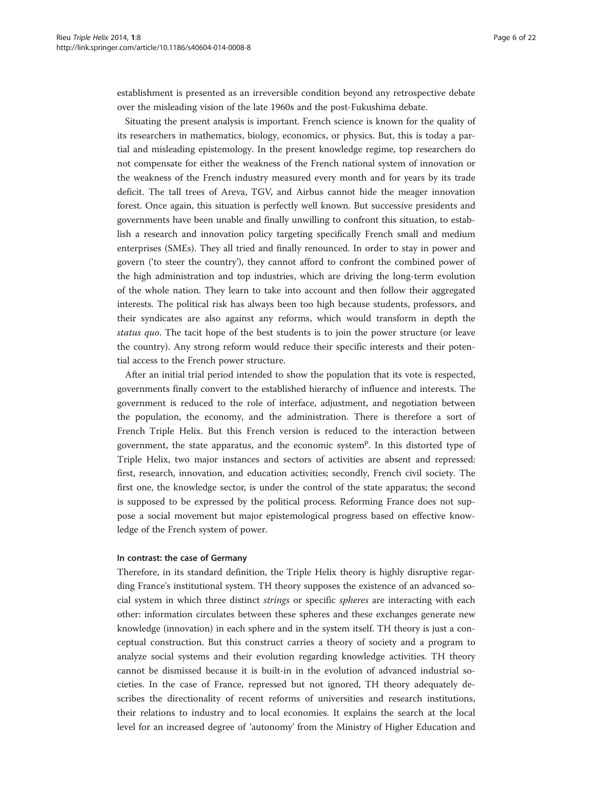establishment is presented as an irreversible condition beyond any retrospective debate over the misleading vision of the late 1960s and the post-Fukushima debate.

Situating the present analysis is important. French science is known for the quality of its researchers in mathematics, biology, economics, or physics. But, this is today a partial and misleading epistemology. In the present knowledge regime, top researchers do not compensate for either the weakness of the French national system of innovation or the weakness of the French industry measured every month and for years by its trade deficit. The tall trees of Areva, TGV, and Airbus cannot hide the meager innovation forest. Once again, this situation is perfectly well known. But successive presidents and governments have been unable and finally unwilling to confront this situation, to establish a research and innovation policy targeting specifically French small and medium enterprises (SMEs). They all tried and finally renounced. In order to stay in power and govern ('to steer the country'), they cannot afford to confront the combined power of the high administration and top industries, which are driving the long-term evolution of the whole nation. They learn to take into account and then follow their aggregated interests. The political risk has always been too high because students, professors, and their syndicates are also against any reforms, which would transform in depth the status quo. The tacit hope of the best students is to join the power structure (or leave the country). Any strong reform would reduce their specific interests and their potential access to the French power structure.

After an initial trial period intended to show the population that its vote is respected, governments finally convert to the established hierarchy of influence and interests. The government is reduced to the role of interface, adjustment, and negotiation between the population, the economy, and the administration. There is therefore a sort of French Triple Helix. But this French version is reduced to the interaction between government, the state apparatus, and the economic system<sup>p</sup>. In this distorted type of Triple Helix, two major instances and sectors of activities are absent and repressed: first, research, innovation, and education activities; secondly, French civil society. The first one, the knowledge sector, is under the control of the state apparatus; the second is supposed to be expressed by the political process. Reforming France does not suppose a social movement but major epistemological progress based on effective knowledge of the French system of power.

#### In contrast: the case of Germany

Therefore, in its standard definition, the Triple Helix theory is highly disruptive regarding France's institutional system. TH theory supposes the existence of an advanced social system in which three distinct strings or specific spheres are interacting with each other: information circulates between these spheres and these exchanges generate new knowledge (innovation) in each sphere and in the system itself. TH theory is just a conceptual construction. But this construct carries a theory of society and a program to analyze social systems and their evolution regarding knowledge activities. TH theory cannot be dismissed because it is built-in in the evolution of advanced industrial societies. In the case of France, repressed but not ignored, TH theory adequately describes the directionality of recent reforms of universities and research institutions, their relations to industry and to local economies. It explains the search at the local level for an increased degree of 'autonomy' from the Ministry of Higher Education and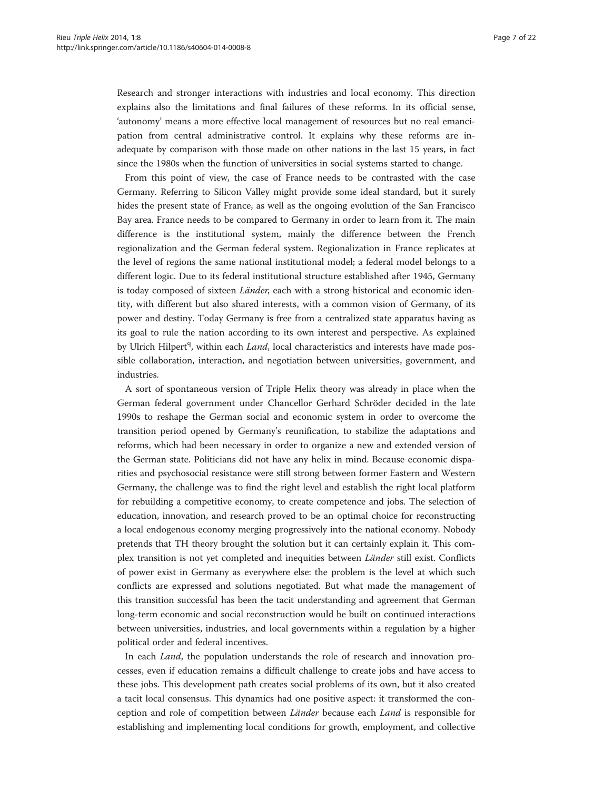Research and stronger interactions with industries and local economy. This direction explains also the limitations and final failures of these reforms. In its official sense, 'autonomy' means a more effective local management of resources but no real emancipation from central administrative control. It explains why these reforms are inadequate by comparison with those made on other nations in the last 15 years, in fact since the 1980s when the function of universities in social systems started to change.

From this point of view, the case of France needs to be contrasted with the case Germany. Referring to Silicon Valley might provide some ideal standard, but it surely hides the present state of France, as well as the ongoing evolution of the San Francisco Bay area. France needs to be compared to Germany in order to learn from it. The main difference is the institutional system, mainly the difference between the French regionalization and the German federal system. Regionalization in France replicates at the level of regions the same national institutional model; a federal model belongs to a different logic. Due to its federal institutional structure established after 1945, Germany is today composed of sixteen Länder, each with a strong historical and economic identity, with different but also shared interests, with a common vision of Germany, of its power and destiny. Today Germany is free from a centralized state apparatus having as its goal to rule the nation according to its own interest and perspective. As explained by Ulrich Hilpert<sup>q</sup>, within each Land, local characteristics and interests have made possible collaboration, interaction, and negotiation between universities, government, and industries.

A sort of spontaneous version of Triple Helix theory was already in place when the German federal government under Chancellor Gerhard Schröder decided in the late 1990s to reshape the German social and economic system in order to overcome the transition period opened by Germany's reunification, to stabilize the adaptations and reforms, which had been necessary in order to organize a new and extended version of the German state. Politicians did not have any helix in mind. Because economic disparities and psychosocial resistance were still strong between former Eastern and Western Germany, the challenge was to find the right level and establish the right local platform for rebuilding a competitive economy, to create competence and jobs. The selection of education, innovation, and research proved to be an optimal choice for reconstructing a local endogenous economy merging progressively into the national economy. Nobody pretends that TH theory brought the solution but it can certainly explain it. This complex transition is not yet completed and inequities between Länder still exist. Conflicts of power exist in Germany as everywhere else: the problem is the level at which such conflicts are expressed and solutions negotiated. But what made the management of this transition successful has been the tacit understanding and agreement that German long-term economic and social reconstruction would be built on continued interactions between universities, industries, and local governments within a regulation by a higher political order and federal incentives.

In each Land, the population understands the role of research and innovation processes, even if education remains a difficult challenge to create jobs and have access to these jobs. This development path creates social problems of its own, but it also created a tacit local consensus. This dynamics had one positive aspect: it transformed the conception and role of competition between Länder because each Land is responsible for establishing and implementing local conditions for growth, employment, and collective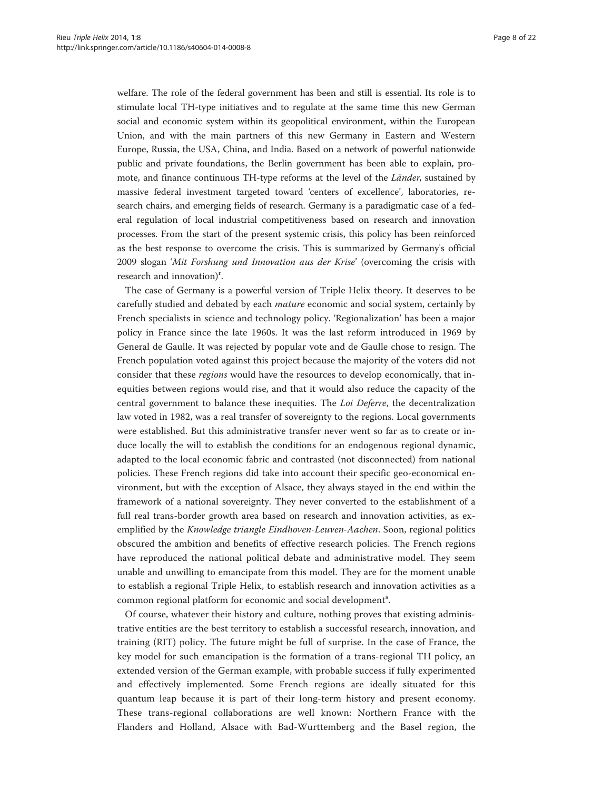welfare. The role of the federal government has been and still is essential. Its role is to stimulate local TH-type initiatives and to regulate at the same time this new German social and economic system within its geopolitical environment, within the European Union, and with the main partners of this new Germany in Eastern and Western Europe, Russia, the USA, China, and India. Based on a network of powerful nationwide public and private foundations, the Berlin government has been able to explain, promote, and finance continuous TH-type reforms at the level of the Länder, sustained by massive federal investment targeted toward 'centers of excellence', laboratories, research chairs, and emerging fields of research. Germany is a paradigmatic case of a federal regulation of local industrial competitiveness based on research and innovation processes. From the start of the present systemic crisis, this policy has been reinforced as the best response to overcome the crisis. This is summarized by Germany's official 2009 slogan 'Mit Forshung und Innovation aus der Krise' (overcoming the crisis with research and innovation)<sup>r</sup>.

The case of Germany is a powerful version of Triple Helix theory. It deserves to be carefully studied and debated by each mature economic and social system, certainly by French specialists in science and technology policy. 'Regionalization' has been a major policy in France since the late 1960s. It was the last reform introduced in 1969 by General de Gaulle. It was rejected by popular vote and de Gaulle chose to resign. The French population voted against this project because the majority of the voters did not consider that these regions would have the resources to develop economically, that inequities between regions would rise, and that it would also reduce the capacity of the central government to balance these inequities. The Loi Deferre, the decentralization law voted in 1982, was a real transfer of sovereignty to the regions. Local governments were established. But this administrative transfer never went so far as to create or induce locally the will to establish the conditions for an endogenous regional dynamic, adapted to the local economic fabric and contrasted (not disconnected) from national policies. These French regions did take into account their specific geo-economical environment, but with the exception of Alsace, they always stayed in the end within the framework of a national sovereignty. They never converted to the establishment of a full real trans-border growth area based on research and innovation activities, as exemplified by the Knowledge triangle Eindhoven-Leuven-Aachen. Soon, regional politics obscured the ambition and benefits of effective research policies. The French regions have reproduced the national political debate and administrative model. They seem unable and unwilling to emancipate from this model. They are for the moment unable to establish a regional Triple Helix, to establish research and innovation activities as a common regional platform for economic and social development<sup>s</sup>.

Of course, whatever their history and culture, nothing proves that existing administrative entities are the best territory to establish a successful research, innovation, and training (RIT) policy. The future might be full of surprise. In the case of France, the key model for such emancipation is the formation of a trans-regional TH policy, an extended version of the German example, with probable success if fully experimented and effectively implemented. Some French regions are ideally situated for this quantum leap because it is part of their long-term history and present economy. These trans-regional collaborations are well known: Northern France with the Flanders and Holland, Alsace with Bad-Wurttemberg and the Basel region, the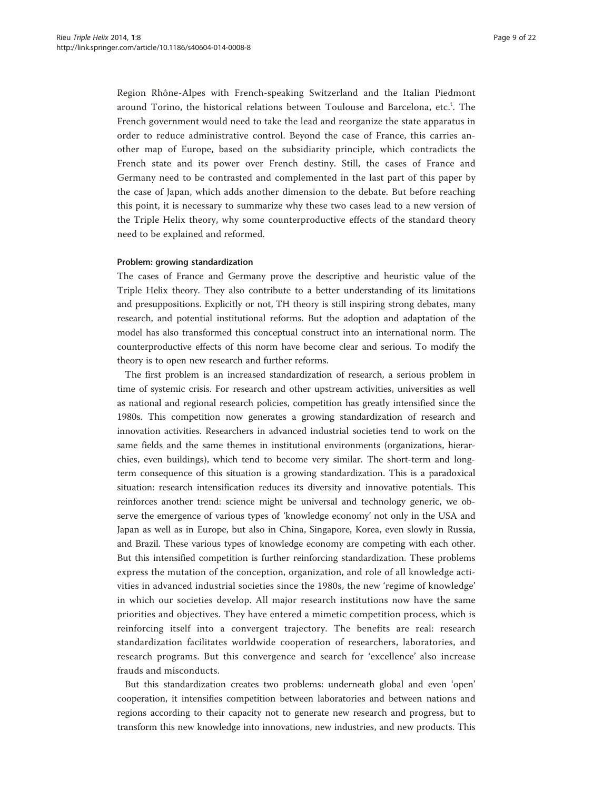Region Rhône-Alpes with French-speaking Switzerland and the Italian Piedmont around Torino, the historical relations between Toulouse and Barcelona, etc.<sup>t</sup>. The French government would need to take the lead and reorganize the state apparatus in order to reduce administrative control. Beyond the case of France, this carries another map of Europe, based on the subsidiarity principle, which contradicts the French state and its power over French destiny. Still, the cases of France and Germany need to be contrasted and complemented in the last part of this paper by the case of Japan, which adds another dimension to the debate. But before reaching this point, it is necessary to summarize why these two cases lead to a new version of the Triple Helix theory, why some counterproductive effects of the standard theory need to be explained and reformed.

#### Problem: growing standardization

The cases of France and Germany prove the descriptive and heuristic value of the Triple Helix theory. They also contribute to a better understanding of its limitations and presuppositions. Explicitly or not, TH theory is still inspiring strong debates, many research, and potential institutional reforms. But the adoption and adaptation of the model has also transformed this conceptual construct into an international norm. The counterproductive effects of this norm have become clear and serious. To modify the theory is to open new research and further reforms.

The first problem is an increased standardization of research, a serious problem in time of systemic crisis. For research and other upstream activities, universities as well as national and regional research policies, competition has greatly intensified since the 1980s. This competition now generates a growing standardization of research and innovation activities. Researchers in advanced industrial societies tend to work on the same fields and the same themes in institutional environments (organizations, hierarchies, even buildings), which tend to become very similar. The short-term and longterm consequence of this situation is a growing standardization. This is a paradoxical situation: research intensification reduces its diversity and innovative potentials. This reinforces another trend: science might be universal and technology generic, we observe the emergence of various types of 'knowledge economy' not only in the USA and Japan as well as in Europe, but also in China, Singapore, Korea, even slowly in Russia, and Brazil. These various types of knowledge economy are competing with each other. But this intensified competition is further reinforcing standardization. These problems express the mutation of the conception, organization, and role of all knowledge activities in advanced industrial societies since the 1980s, the new 'regime of knowledge' in which our societies develop. All major research institutions now have the same priorities and objectives. They have entered a mimetic competition process, which is reinforcing itself into a convergent trajectory. The benefits are real: research standardization facilitates worldwide cooperation of researchers, laboratories, and research programs. But this convergence and search for 'excellence' also increase frauds and misconducts.

But this standardization creates two problems: underneath global and even 'open' cooperation, it intensifies competition between laboratories and between nations and regions according to their capacity not to generate new research and progress, but to transform this new knowledge into innovations, new industries, and new products. This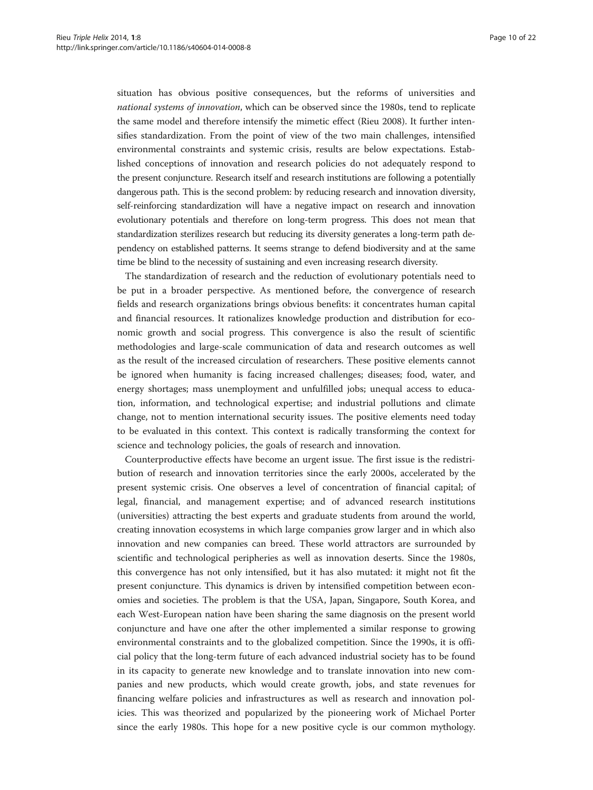situation has obvious positive consequences, but the reforms of universities and national systems of innovation, which can be observed since the 1980s, tend to replicate the same model and therefore intensify the mimetic effect (Rieu [2008\)](#page-21-0). It further intensifies standardization. From the point of view of the two main challenges, intensified environmental constraints and systemic crisis, results are below expectations. Established conceptions of innovation and research policies do not adequately respond to the present conjuncture. Research itself and research institutions are following a potentially dangerous path. This is the second problem: by reducing research and innovation diversity, self-reinforcing standardization will have a negative impact on research and innovation evolutionary potentials and therefore on long-term progress. This does not mean that standardization sterilizes research but reducing its diversity generates a long-term path dependency on established patterns. It seems strange to defend biodiversity and at the same time be blind to the necessity of sustaining and even increasing research diversity.

The standardization of research and the reduction of evolutionary potentials need to be put in a broader perspective. As mentioned before, the convergence of research fields and research organizations brings obvious benefits: it concentrates human capital and financial resources. It rationalizes knowledge production and distribution for economic growth and social progress. This convergence is also the result of scientific methodologies and large-scale communication of data and research outcomes as well as the result of the increased circulation of researchers. These positive elements cannot be ignored when humanity is facing increased challenges; diseases; food, water, and energy shortages; mass unemployment and unfulfilled jobs; unequal access to education, information, and technological expertise; and industrial pollutions and climate change, not to mention international security issues. The positive elements need today to be evaluated in this context. This context is radically transforming the context for science and technology policies, the goals of research and innovation.

Counterproductive effects have become an urgent issue. The first issue is the redistribution of research and innovation territories since the early 2000s, accelerated by the present systemic crisis. One observes a level of concentration of financial capital; of legal, financial, and management expertise; and of advanced research institutions (universities) attracting the best experts and graduate students from around the world, creating innovation ecosystems in which large companies grow larger and in which also innovation and new companies can breed. These world attractors are surrounded by scientific and technological peripheries as well as innovation deserts. Since the 1980s, this convergence has not only intensified, but it has also mutated: it might not fit the present conjuncture. This dynamics is driven by intensified competition between economies and societies. The problem is that the USA, Japan, Singapore, South Korea, and each West-European nation have been sharing the same diagnosis on the present world conjuncture and have one after the other implemented a similar response to growing environmental constraints and to the globalized competition. Since the 1990s, it is official policy that the long-term future of each advanced industrial society has to be found in its capacity to generate new knowledge and to translate innovation into new companies and new products, which would create growth, jobs, and state revenues for financing welfare policies and infrastructures as well as research and innovation policies. This was theorized and popularized by the pioneering work of Michael Porter since the early 1980s. This hope for a new positive cycle is our common mythology.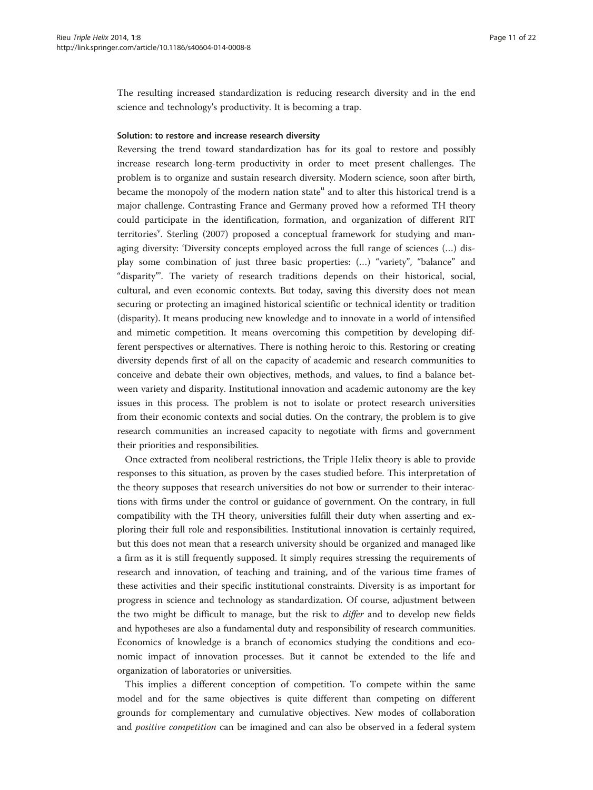The resulting increased standardization is reducing research diversity and in the end science and technology's productivity. It is becoming a trap.

#### Solution: to restore and increase research diversity

Reversing the trend toward standardization has for its goal to restore and possibly increase research long-term productivity in order to meet present challenges. The problem is to organize and sustain research diversity. Modern science, soon after birth, became the monopoly of the modern nation state<sup>u</sup> and to alter this historical trend is a major challenge. Contrasting France and Germany proved how a reformed TH theory could participate in the identification, formation, and organization of different RIT territories<sup>v</sup>. Sterling ([2007](#page-21-0)) proposed a conceptual framework for studying and managing diversity: 'Diversity concepts employed across the full range of sciences (…) display some combination of just three basic properties: (…) "variety", "balance" and "disparity"'. The variety of research traditions depends on their historical, social, cultural, and even economic contexts. But today, saving this diversity does not mean securing or protecting an imagined historical scientific or technical identity or tradition (disparity). It means producing new knowledge and to innovate in a world of intensified and mimetic competition. It means overcoming this competition by developing different perspectives or alternatives. There is nothing heroic to this. Restoring or creating diversity depends first of all on the capacity of academic and research communities to conceive and debate their own objectives, methods, and values, to find a balance between variety and disparity. Institutional innovation and academic autonomy are the key issues in this process. The problem is not to isolate or protect research universities from their economic contexts and social duties. On the contrary, the problem is to give research communities an increased capacity to negotiate with firms and government their priorities and responsibilities.

Once extracted from neoliberal restrictions, the Triple Helix theory is able to provide responses to this situation, as proven by the cases studied before. This interpretation of the theory supposes that research universities do not bow or surrender to their interactions with firms under the control or guidance of government. On the contrary, in full compatibility with the TH theory, universities fulfill their duty when asserting and exploring their full role and responsibilities. Institutional innovation is certainly required, but this does not mean that a research university should be organized and managed like a firm as it is still frequently supposed. It simply requires stressing the requirements of research and innovation, of teaching and training, and of the various time frames of these activities and their specific institutional constraints. Diversity is as important for progress in science and technology as standardization. Of course, adjustment between the two might be difficult to manage, but the risk to *differ* and to develop new fields and hypotheses are also a fundamental duty and responsibility of research communities. Economics of knowledge is a branch of economics studying the conditions and economic impact of innovation processes. But it cannot be extended to the life and organization of laboratories or universities.

This implies a different conception of competition. To compete within the same model and for the same objectives is quite different than competing on different grounds for complementary and cumulative objectives. New modes of collaboration and *positive competition* can be imagined and can also be observed in a federal system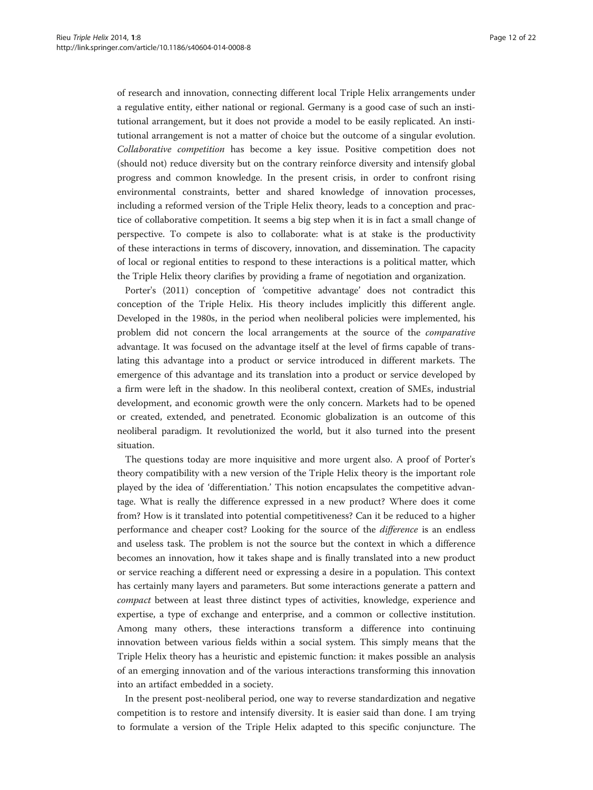of research and innovation, connecting different local Triple Helix arrangements under a regulative entity, either national or regional. Germany is a good case of such an institutional arrangement, but it does not provide a model to be easily replicated. An institutional arrangement is not a matter of choice but the outcome of a singular evolution. Collaborative competition has become a key issue. Positive competition does not (should not) reduce diversity but on the contrary reinforce diversity and intensify global progress and common knowledge. In the present crisis, in order to confront rising environmental constraints, better and shared knowledge of innovation processes, including a reformed version of the Triple Helix theory, leads to a conception and practice of collaborative competition. It seems a big step when it is in fact a small change of perspective. To compete is also to collaborate: what is at stake is the productivity of these interactions in terms of discovery, innovation, and dissemination. The capacity of local or regional entities to respond to these interactions is a political matter, which the Triple Helix theory clarifies by providing a frame of negotiation and organization.

Porter's ([2011](#page-21-0)) conception of 'competitive advantage' does not contradict this conception of the Triple Helix. His theory includes implicitly this different angle. Developed in the 1980s, in the period when neoliberal policies were implemented, his problem did not concern the local arrangements at the source of the comparative advantage. It was focused on the advantage itself at the level of firms capable of translating this advantage into a product or service introduced in different markets. The emergence of this advantage and its translation into a product or service developed by a firm were left in the shadow. In this neoliberal context, creation of SMEs, industrial development, and economic growth were the only concern. Markets had to be opened or created, extended, and penetrated. Economic globalization is an outcome of this neoliberal paradigm. It revolutionized the world, but it also turned into the present situation.

The questions today are more inquisitive and more urgent also. A proof of Porter's theory compatibility with a new version of the Triple Helix theory is the important role played by the idea of 'differentiation.' This notion encapsulates the competitive advantage. What is really the difference expressed in a new product? Where does it come from? How is it translated into potential competitiveness? Can it be reduced to a higher performance and cheaper cost? Looking for the source of the difference is an endless and useless task. The problem is not the source but the context in which a difference becomes an innovation, how it takes shape and is finally translated into a new product or service reaching a different need or expressing a desire in a population. This context has certainly many layers and parameters. But some interactions generate a pattern and compact between at least three distinct types of activities, knowledge, experience and expertise, a type of exchange and enterprise, and a common or collective institution. Among many others, these interactions transform a difference into continuing innovation between various fields within a social system. This simply means that the Triple Helix theory has a heuristic and epistemic function: it makes possible an analysis of an emerging innovation and of the various interactions transforming this innovation into an artifact embedded in a society.

In the present post-neoliberal period, one way to reverse standardization and negative competition is to restore and intensify diversity. It is easier said than done. I am trying to formulate a version of the Triple Helix adapted to this specific conjuncture. The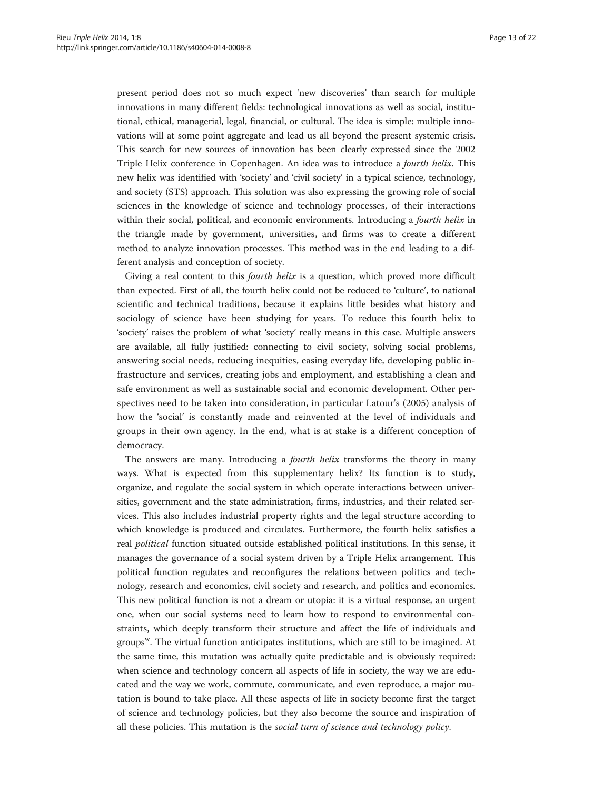present period does not so much expect 'new discoveries' than search for multiple innovations in many different fields: technological innovations as well as social, institutional, ethical, managerial, legal, financial, or cultural. The idea is simple: multiple innovations will at some point aggregate and lead us all beyond the present systemic crisis. This search for new sources of innovation has been clearly expressed since the 2002 Triple Helix conference in Copenhagen. An idea was to introduce a fourth helix. This new helix was identified with 'society' and 'civil society' in a typical science, technology, and society (STS) approach. This solution was also expressing the growing role of social sciences in the knowledge of science and technology processes, of their interactions within their social, political, and economic environments. Introducing a *fourth helix* in the triangle made by government, universities, and firms was to create a different method to analyze innovation processes. This method was in the end leading to a different analysis and conception of society.

Giving a real content to this *fourth helix* is a question, which proved more difficult than expected. First of all, the fourth helix could not be reduced to 'culture', to national scientific and technical traditions, because it explains little besides what history and sociology of science have been studying for years. To reduce this fourth helix to 'society' raises the problem of what 'society' really means in this case. Multiple answers are available, all fully justified: connecting to civil society, solving social problems, answering social needs, reducing inequities, easing everyday life, developing public infrastructure and services, creating jobs and employment, and establishing a clean and safe environment as well as sustainable social and economic development. Other perspectives need to be taken into consideration, in particular Latour's ([2005\)](#page-20-0) analysis of how the 'social' is constantly made and reinvented at the level of individuals and groups in their own agency. In the end, what is at stake is a different conception of democracy.

The answers are many. Introducing a *fourth helix* transforms the theory in many ways. What is expected from this supplementary helix? Its function is to study, organize, and regulate the social system in which operate interactions between universities, government and the state administration, firms, industries, and their related services. This also includes industrial property rights and the legal structure according to which knowledge is produced and circulates. Furthermore, the fourth helix satisfies a real political function situated outside established political institutions. In this sense, it manages the governance of a social system driven by a Triple Helix arrangement. This political function regulates and reconfigures the relations between politics and technology, research and economics, civil society and research, and politics and economics. This new political function is not a dream or utopia: it is a virtual response, an urgent one, when our social systems need to learn how to respond to environmental constraints, which deeply transform their structure and affect the life of individuals and groups<sup>w</sup>. The virtual function anticipates institutions, which are still to be imagined. At the same time, this mutation was actually quite predictable and is obviously required: when science and technology concern all aspects of life in society, the way we are educated and the way we work, commute, communicate, and even reproduce, a major mutation is bound to take place. All these aspects of life in society become first the target of science and technology policies, but they also become the source and inspiration of all these policies. This mutation is the social turn of science and technology policy.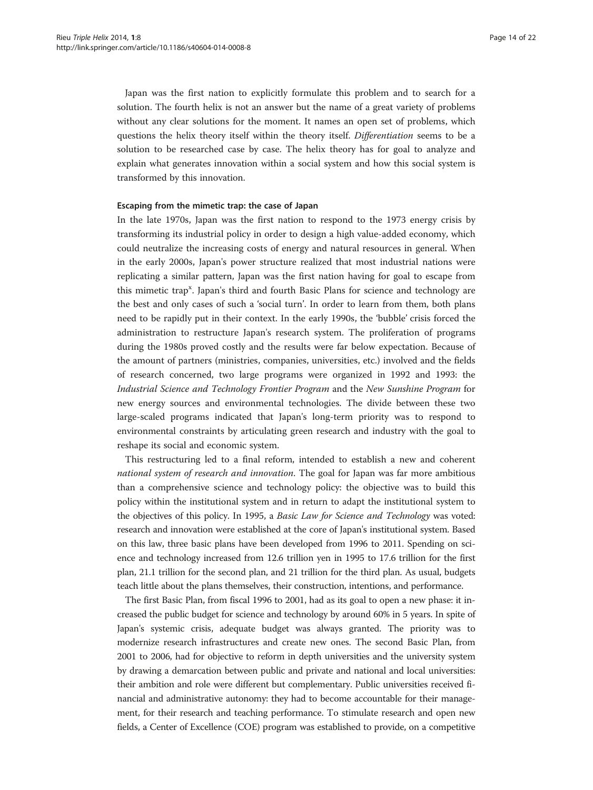Japan was the first nation to explicitly formulate this problem and to search for a solution. The fourth helix is not an answer but the name of a great variety of problems without any clear solutions for the moment. It names an open set of problems, which questions the helix theory itself within the theory itself. Differentiation seems to be a solution to be researched case by case. The helix theory has for goal to analyze and explain what generates innovation within a social system and how this social system is transformed by this innovation.

## Escaping from the mimetic trap: the case of Japan

In the late 1970s, Japan was the first nation to respond to the 1973 energy crisis by transforming its industrial policy in order to design a high value-added economy, which could neutralize the increasing costs of energy and natural resources in general. When in the early 2000s, Japan's power structure realized that most industrial nations were replicating a similar pattern, Japan was the first nation having for goal to escape from this mimetic trap<sup>x</sup>. Japan's third and fourth Basic Plans for science and technology are the best and only cases of such a 'social turn'. In order to learn from them, both plans need to be rapidly put in their context. In the early 1990s, the 'bubble' crisis forced the administration to restructure Japan's research system. The proliferation of programs during the 1980s proved costly and the results were far below expectation. Because of the amount of partners (ministries, companies, universities, etc.) involved and the fields of research concerned, two large programs were organized in 1992 and 1993: the Industrial Science and Technology Frontier Program and the New Sunshine Program for new energy sources and environmental technologies. The divide between these two large-scaled programs indicated that Japan's long-term priority was to respond to environmental constraints by articulating green research and industry with the goal to reshape its social and economic system.

This restructuring led to a final reform, intended to establish a new and coherent national system of research and innovation. The goal for Japan was far more ambitious than a comprehensive science and technology policy: the objective was to build this policy within the institutional system and in return to adapt the institutional system to the objectives of this policy. In 1995, a Basic Law for Science and Technology was voted: research and innovation were established at the core of Japan's institutional system. Based on this law, three basic plans have been developed from 1996 to 2011. Spending on science and technology increased from 12.6 trillion yen in 1995 to 17.6 trillion for the first plan, 21.1 trillion for the second plan, and 21 trillion for the third plan. As usual, budgets teach little about the plans themselves, their construction, intentions, and performance.

The first Basic Plan, from fiscal 1996 to 2001, had as its goal to open a new phase: it increased the public budget for science and technology by around 60% in 5 years. In spite of Japan's systemic crisis, adequate budget was always granted. The priority was to modernize research infrastructures and create new ones. The second Basic Plan, from 2001 to 2006, had for objective to reform in depth universities and the university system by drawing a demarcation between public and private and national and local universities: their ambition and role were different but complementary. Public universities received financial and administrative autonomy: they had to become accountable for their management, for their research and teaching performance. To stimulate research and open new fields, a Center of Excellence (COE) program was established to provide, on a competitive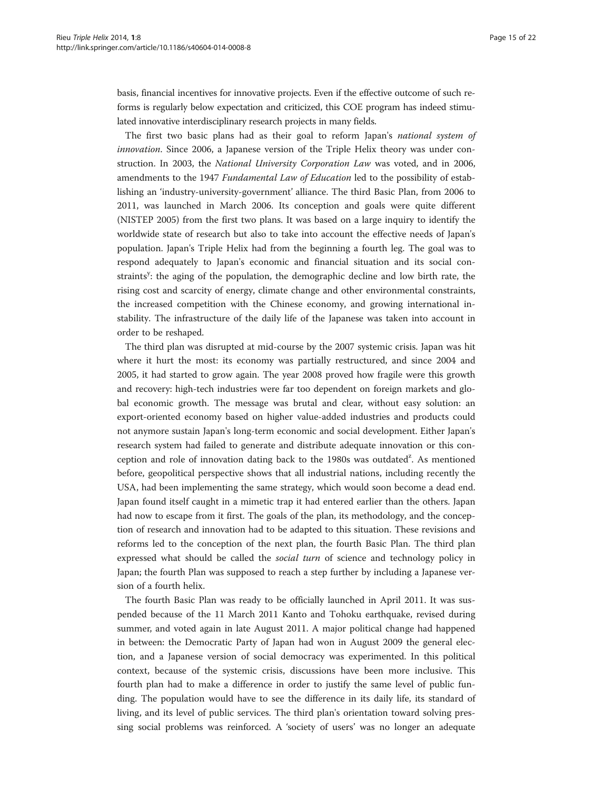basis, financial incentives for innovative projects. Even if the effective outcome of such reforms is regularly below expectation and criticized, this COE program has indeed stimulated innovative interdisciplinary research projects in many fields.

The first two basic plans had as their goal to reform Japan's national system of innovation. Since 2006, a Japanese version of the Triple Helix theory was under construction. In 2003, the National University Corporation Law was voted, and in 2006, amendments to the 1947 Fundamental Law of Education led to the possibility of establishing an 'industry-university-government' alliance. The third Basic Plan, from 2006 to 2011, was launched in March 2006. Its conception and goals were quite different (NISTEP [2005](#page-20-0)) from the first two plans. It was based on a large inquiry to identify the worldwide state of research but also to take into account the effective needs of Japan's population. Japan's Triple Helix had from the beginning a fourth leg. The goal was to respond adequately to Japan's economic and financial situation and its social constraints<sup>y</sup>: the aging of the population, the demographic decline and low birth rate, the rising cost and scarcity of energy, climate change and other environmental constraints, the increased competition with the Chinese economy, and growing international instability. The infrastructure of the daily life of the Japanese was taken into account in order to be reshaped.

The third plan was disrupted at mid-course by the 2007 systemic crisis. Japan was hit where it hurt the most: its economy was partially restructured, and since 2004 and 2005, it had started to grow again. The year 2008 proved how fragile were this growth and recovery: high-tech industries were far too dependent on foreign markets and global economic growth. The message was brutal and clear, without easy solution: an export-oriented economy based on higher value-added industries and products could not anymore sustain Japan's long-term economic and social development. Either Japan's research system had failed to generate and distribute adequate innovation or this conception and role of innovation dating back to the 1980s was outdated<sup>z</sup>. As mentioned before, geopolitical perspective shows that all industrial nations, including recently the USA, had been implementing the same strategy, which would soon become a dead end. Japan found itself caught in a mimetic trap it had entered earlier than the others. Japan had now to escape from it first. The goals of the plan, its methodology, and the conception of research and innovation had to be adapted to this situation. These revisions and reforms led to the conception of the next plan, the fourth Basic Plan. The third plan expressed what should be called the *social turn* of science and technology policy in Japan; the fourth Plan was supposed to reach a step further by including a Japanese version of a fourth helix.

The fourth Basic Plan was ready to be officially launched in April 2011. It was suspended because of the 11 March 2011 Kanto and Tohoku earthquake, revised during summer, and voted again in late August 2011. A major political change had happened in between: the Democratic Party of Japan had won in August 2009 the general election, and a Japanese version of social democracy was experimented. In this political context, because of the systemic crisis, discussions have been more inclusive. This fourth plan had to make a difference in order to justify the same level of public funding. The population would have to see the difference in its daily life, its standard of living, and its level of public services. The third plan's orientation toward solving pressing social problems was reinforced. A 'society of users' was no longer an adequate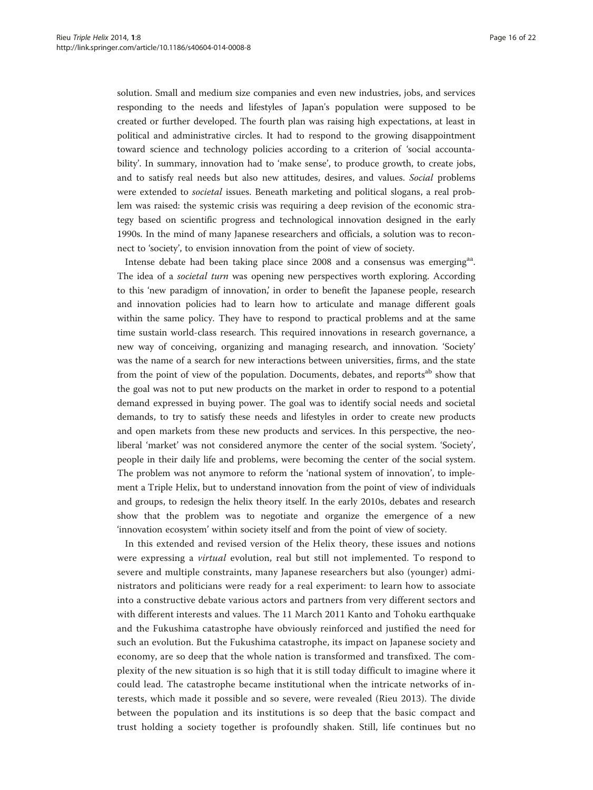solution. Small and medium size companies and even new industries, jobs, and services responding to the needs and lifestyles of Japan's population were supposed to be created or further developed. The fourth plan was raising high expectations, at least in political and administrative circles. It had to respond to the growing disappointment toward science and technology policies according to a criterion of 'social accountability'. In summary, innovation had to 'make sense', to produce growth, to create jobs, and to satisfy real needs but also new attitudes, desires, and values. Social problems were extended to societal issues. Beneath marketing and political slogans, a real problem was raised: the systemic crisis was requiring a deep revision of the economic strategy based on scientific progress and technological innovation designed in the early 1990s. In the mind of many Japanese researchers and officials, a solution was to reconnect to 'society', to envision innovation from the point of view of society.

Intense debate had been taking place since 2008 and a consensus was emerging<sup>aa</sup>. The idea of a *societal turn* was opening new perspectives worth exploring. According to this 'new paradigm of innovation,' in order to benefit the Japanese people, research and innovation policies had to learn how to articulate and manage different goals within the same policy. They have to respond to practical problems and at the same time sustain world-class research. This required innovations in research governance, a new way of conceiving, organizing and managing research, and innovation. 'Society' was the name of a search for new interactions between universities, firms, and the state from the point of view of the population. Documents, debates, and reports<sup>ab</sup> show that the goal was not to put new products on the market in order to respond to a potential demand expressed in buying power. The goal was to identify social needs and societal demands, to try to satisfy these needs and lifestyles in order to create new products and open markets from these new products and services. In this perspective, the neoliberal 'market' was not considered anymore the center of the social system. 'Society', people in their daily life and problems, were becoming the center of the social system. The problem was not anymore to reform the 'national system of innovation', to implement a Triple Helix, but to understand innovation from the point of view of individuals and groups, to redesign the helix theory itself. In the early 2010s, debates and research show that the problem was to negotiate and organize the emergence of a new 'innovation ecosystem' within society itself and from the point of view of society.

In this extended and revised version of the Helix theory, these issues and notions were expressing a *virtual* evolution, real but still not implemented. To respond to severe and multiple constraints, many Japanese researchers but also (younger) administrators and politicians were ready for a real experiment: to learn how to associate into a constructive debate various actors and partners from very different sectors and with different interests and values. The 11 March 2011 Kanto and Tohoku earthquake and the Fukushima catastrophe have obviously reinforced and justified the need for such an evolution. But the Fukushima catastrophe, its impact on Japanese society and economy, are so deep that the whole nation is transformed and transfixed. The complexity of the new situation is so high that it is still today difficult to imagine where it could lead. The catastrophe became institutional when the intricate networks of interests, which made it possible and so severe, were revealed (Rieu [2013](#page-21-0)). The divide between the population and its institutions is so deep that the basic compact and trust holding a society together is profoundly shaken. Still, life continues but no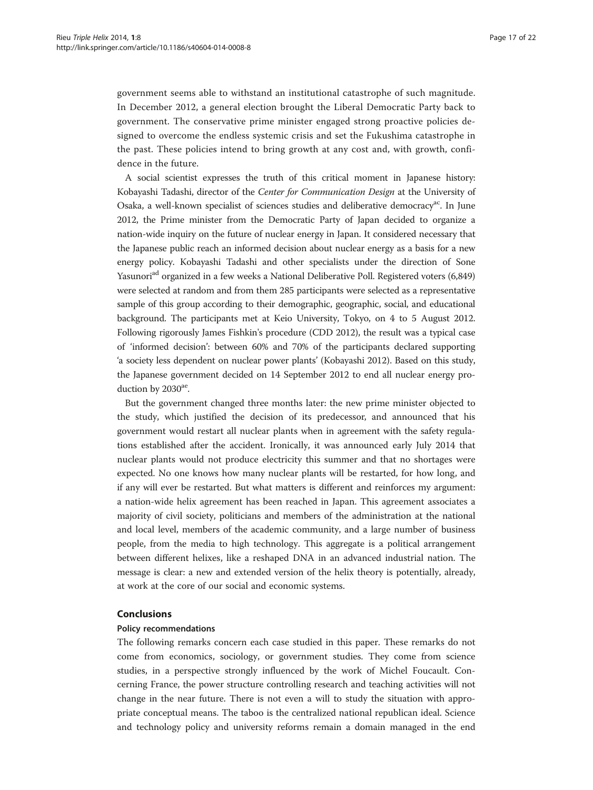government seems able to withstand an institutional catastrophe of such magnitude. In December 2012, a general election brought the Liberal Democratic Party back to government. The conservative prime minister engaged strong proactive policies designed to overcome the endless systemic crisis and set the Fukushima catastrophe in the past. These policies intend to bring growth at any cost and, with growth, confidence in the future.

A social scientist expresses the truth of this critical moment in Japanese history: Kobayashi Tadashi, director of the Center for Communication Design at the University of Osaka, a well-known specialist of sciences studies and deliberative democracy<sup>ac</sup>. In June 2012, the Prime minister from the Democratic Party of Japan decided to organize a nation-wide inquiry on the future of nuclear energy in Japan. It considered necessary that the Japanese public reach an informed decision about nuclear energy as a basis for a new energy policy. Kobayashi Tadashi and other specialists under the direction of Sone Yasunori<sup>ad</sup> organized in a few weeks a National Deliberative Poll. Registered voters (6,849) were selected at random and from them 285 participants were selected as a representative sample of this group according to their demographic, geographic, social, and educational background. The participants met at Keio University, Tokyo, on 4 to 5 August 2012. Following rigorously James Fishkin's procedure (CDD [2012\)](#page-20-0), the result was a typical case of 'informed decision': between 60% and 70% of the participants declared supporting 'a society less dependent on nuclear power plants' (Kobayashi [2012](#page-20-0)). Based on this study, the Japanese government decided on 14 September 2012 to end all nuclear energy production by  $2030^{ae}$ .

But the government changed three months later: the new prime minister objected to the study, which justified the decision of its predecessor, and announced that his government would restart all nuclear plants when in agreement with the safety regulations established after the accident. Ironically, it was announced early July 2014 that nuclear plants would not produce electricity this summer and that no shortages were expected. No one knows how many nuclear plants will be restarted, for how long, and if any will ever be restarted. But what matters is different and reinforces my argument: a nation-wide helix agreement has been reached in Japan. This agreement associates a majority of civil society, politicians and members of the administration at the national and local level, members of the academic community, and a large number of business people, from the media to high technology. This aggregate is a political arrangement between different helixes, like a reshaped DNA in an advanced industrial nation. The message is clear: a new and extended version of the helix theory is potentially, already, at work at the core of our social and economic systems.

### Conclusions

#### Policy recommendations

The following remarks concern each case studied in this paper. These remarks do not come from economics, sociology, or government studies. They come from science studies, in a perspective strongly influenced by the work of Michel Foucault. Concerning France, the power structure controlling research and teaching activities will not change in the near future. There is not even a will to study the situation with appropriate conceptual means. The taboo is the centralized national republican ideal. Science and technology policy and university reforms remain a domain managed in the end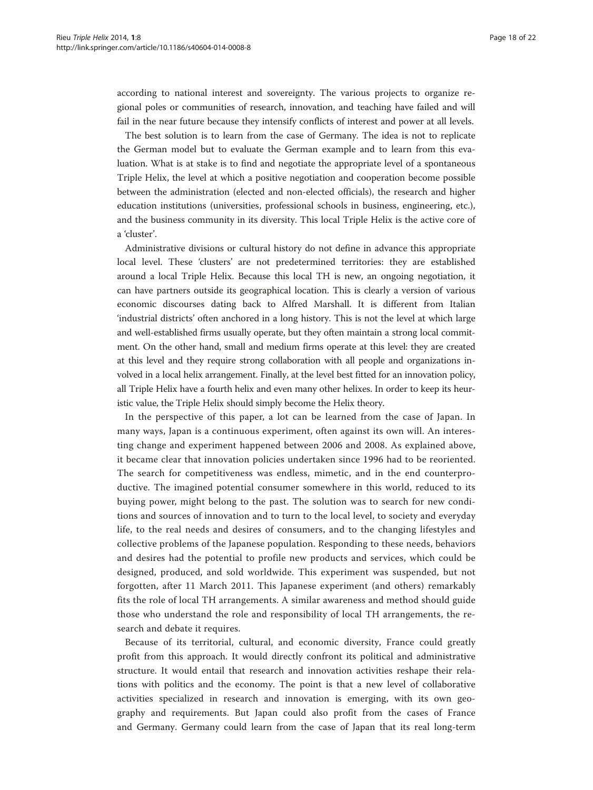according to national interest and sovereignty. The various projects to organize regional poles or communities of research, innovation, and teaching have failed and will fail in the near future because they intensify conflicts of interest and power at all levels.

The best solution is to learn from the case of Germany. The idea is not to replicate the German model but to evaluate the German example and to learn from this evaluation. What is at stake is to find and negotiate the appropriate level of a spontaneous Triple Helix, the level at which a positive negotiation and cooperation become possible between the administration (elected and non-elected officials), the research and higher education institutions (universities, professional schools in business, engineering, etc.), and the business community in its diversity. This local Triple Helix is the active core of a 'cluster'.

Administrative divisions or cultural history do not define in advance this appropriate local level. These 'clusters' are not predetermined territories: they are established around a local Triple Helix. Because this local TH is new, an ongoing negotiation, it can have partners outside its geographical location. This is clearly a version of various economic discourses dating back to Alfred Marshall. It is different from Italian 'industrial districts' often anchored in a long history. This is not the level at which large and well-established firms usually operate, but they often maintain a strong local commitment. On the other hand, small and medium firms operate at this level: they are created at this level and they require strong collaboration with all people and organizations involved in a local helix arrangement. Finally, at the level best fitted for an innovation policy, all Triple Helix have a fourth helix and even many other helixes. In order to keep its heuristic value, the Triple Helix should simply become the Helix theory.

In the perspective of this paper, a lot can be learned from the case of Japan. In many ways, Japan is a continuous experiment, often against its own will. An interesting change and experiment happened between 2006 and 2008. As explained above, it became clear that innovation policies undertaken since 1996 had to be reoriented. The search for competitiveness was endless, mimetic, and in the end counterproductive. The imagined potential consumer somewhere in this world, reduced to its buying power, might belong to the past. The solution was to search for new conditions and sources of innovation and to turn to the local level, to society and everyday life, to the real needs and desires of consumers, and to the changing lifestyles and collective problems of the Japanese population. Responding to these needs, behaviors and desires had the potential to profile new products and services, which could be designed, produced, and sold worldwide. This experiment was suspended, but not forgotten, after 11 March 2011. This Japanese experiment (and others) remarkably fits the role of local TH arrangements. A similar awareness and method should guide those who understand the role and responsibility of local TH arrangements, the research and debate it requires.

Because of its territorial, cultural, and economic diversity, France could greatly profit from this approach. It would directly confront its political and administrative structure. It would entail that research and innovation activities reshape their relations with politics and the economy. The point is that a new level of collaborative activities specialized in research and innovation is emerging, with its own geography and requirements. But Japan could also profit from the cases of France and Germany. Germany could learn from the case of Japan that its real long-term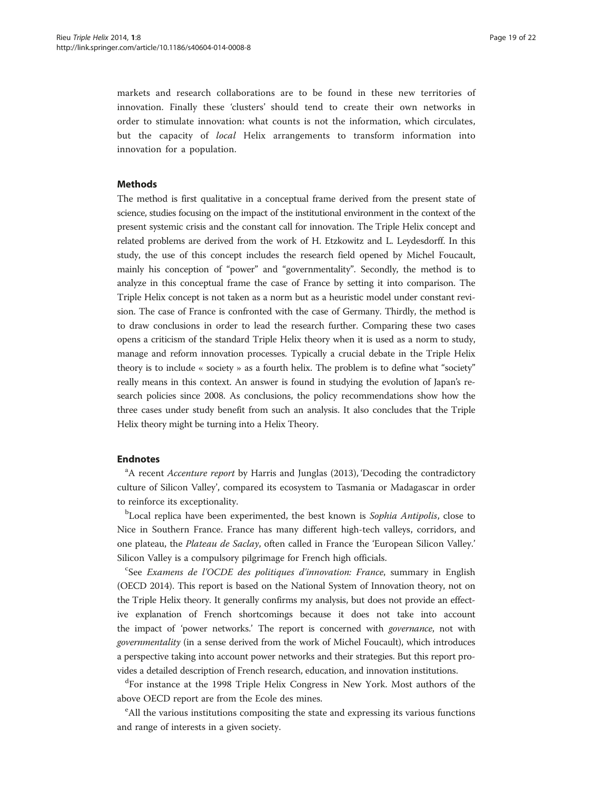markets and research collaborations are to be found in these new territories of innovation. Finally these 'clusters' should tend to create their own networks in order to stimulate innovation: what counts is not the information, which circulates, but the capacity of local Helix arrangements to transform information into innovation for a population.

# Methods

The method is first qualitative in a conceptual frame derived from the present state of science, studies focusing on the impact of the institutional environment in the context of the present systemic crisis and the constant call for innovation. The Triple Helix concept and related problems are derived from the work of H. Etzkowitz and L. Leydesdorff. In this study, the use of this concept includes the research field opened by Michel Foucault, mainly his conception of "power" and "governmentality". Secondly, the method is to analyze in this conceptual frame the case of France by setting it into comparison. The Triple Helix concept is not taken as a norm but as a heuristic model under constant revision. The case of France is confronted with the case of Germany. Thirdly, the method is to draw conclusions in order to lead the research further. Comparing these two cases opens a criticism of the standard Triple Helix theory when it is used as a norm to study, manage and reform innovation processes. Typically a crucial debate in the Triple Helix theory is to include « society » as a fourth helix. The problem is to define what "society" really means in this context. An answer is found in studying the evolution of Japan's research policies since 2008. As conclusions, the policy recommendations show how the three cases under study benefit from such an analysis. It also concludes that the Triple Helix theory might be turning into a Helix Theory.

# Endnotes

<sup>a</sup>A recent Accenture report by Harris and Junglas [\(2013\)](#page-20-0), 'Decoding the contradictory culture of Silicon Valley', compared its ecosystem to Tasmania or Madagascar in order to reinforce its exceptionality.

<sup>b</sup>Local replica have been experimented, the best known is Sophia Antipolis, close to Nice in Southern France. France has many different high-tech valleys, corridors, and one plateau, the Plateau de Saclay, often called in France the 'European Silicon Valley.' Silicon Valley is a compulsory pilgrimage for French high officials.

<sup>c</sup>See Examens de l'OCDE des politiques d'innovation: France, summary in English (OECD [2014\)](#page-21-0). This report is based on the National System of Innovation theory, not on the Triple Helix theory. It generally confirms my analysis, but does not provide an effective explanation of French shortcomings because it does not take into account the impact of 'power networks.' The report is concerned with governance, not with governmentality (in a sense derived from the work of Michel Foucault), which introduces a perspective taking into account power networks and their strategies. But this report provides a detailed description of French research, education, and innovation institutions.

<sup>d</sup>For instance at the 1998 Triple Helix Congress in New York. Most authors of the above OECD report are from the Ecole des mines.

<sup>e</sup>All the various institutions compositing the state and expressing its various functions and range of interests in a given society.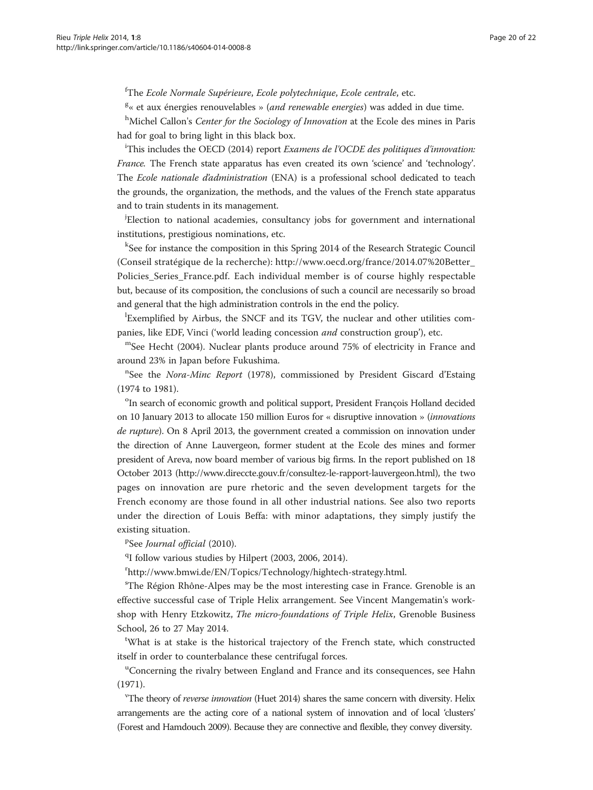<sup>f</sup>The Ecole Normale Supérieure, Ecole polytechnique, Ecole centrale, etc.

<sup>g</sup>« et aux énergies renouvelables » (*and renewable energies*) was added in due time.

<sup>h</sup>Michel Callon's *Center for the Sociology of Innovation* at the Ecole des mines in Paris had for goal to bring light in this black box.

<sup>i</sup>This includes the OECD [\(2014](#page-21-0)) report Examens de l'OCDE des politiques d'innovation: France. The French state apparatus has even created its own 'science' and 'technology'. The Ecole nationale d'administration (ENA) is a professional school dedicated to teach the grounds, the organization, the methods, and the values of the French state apparatus and to train students in its management.

<sup>j</sup>Election to national academies, consultancy jobs for government and international institutions, prestigious nominations, etc.

<sup>k</sup>See for instance the composition in this Spring 2014 of the Research Strategic Council (Conseil stratégique de la recherche): [http://www.oecd.org/france/2014.07%20Better\\_](http://www.oecd.org/france/2014.07%20Better_Policies_Series_France.pdf) Policies Series France.pdf. Each individual member is of course highly respectable but, because of its composition, the conclusions of such a council are necessarily so broad and general that the high administration controls in the end the policy.

<sup>1</sup>Exemplified by Airbus, the SNCF and its TGV, the nuclear and other utilities companies, like EDF, Vinci ('world leading concession and construction group'), etc.

mSee Hecht [\(2004\)](#page-20-0). Nuclear plants produce around 75% of electricity in France and around 23% in Japan before Fukushima.

<sup>n</sup>See the Nora-Minc Report ([1978\)](#page-20-0), commissioned by President Giscard d'Estaing (1974 to 1981).

<sup>o</sup>In search of economic growth and political support, President François Holland decided on 10 January 2013 to allocate 150 million Euros for « disruptive innovation » (innovations de rupture). On 8 April 2013, the government created a commission on innovation under the direction of Anne Lauvergeon, former student at the Ecole des mines and former president of Areva, now board member of various big firms. In the report published on 18 October 2013 [\(http://www.direccte.gouv.fr/consultez-le-rapport-lauvergeon.html](http://www.direccte.gouv.fr/consultez-le-rapport-lauvergeon.html)), the two pages on innovation are pure rhetoric and the seven development targets for the French economy are those found in all other industrial nations. See also two reports under the direction of Louis Beffa: with minor adaptations, they simply justify the existing situation.

<sup>P</sup>See Journal official ([2010](#page-21-0)).

<sup>q</sup>I follow various studies by Hilpert ([2003, 2006](#page-20-0), [2014\)](#page-20-0).

r [http://www.bmwi.de/EN/Topics/Technology/hightech-strategy.html.](http://www.bmwi.de/EN/Topics/Technology/hightech-strategy.html)

<sup>s</sup>The Région Rhône-Alpes may be the most interesting case in France. Grenoble is an effective successful case of Triple Helix arrangement. See Vincent Mangematin's workshop with Henry Etzkowitz, The micro-foundations of Triple Helix, Grenoble Business School, 26 to 27 May 2014.

<sup>t</sup>What is at stake is the historical trajectory of the French state, which constructed itself in order to counterbalance these centrifugal forces.

<sup>u</sup>Concerning the rivalry between England and France and its consequences, see Hahn ([1971](#page-20-0)).

<sup>v</sup>The theory of *reverse innovation* (Huet [2014\)](#page-20-0) shares the same concern with diversity. Helix arrangements are the acting core of a national system of innovation and of local 'clusters' (Forest and Hamdouch [2009\)](#page-20-0). Because they are connective and flexible, they convey diversity.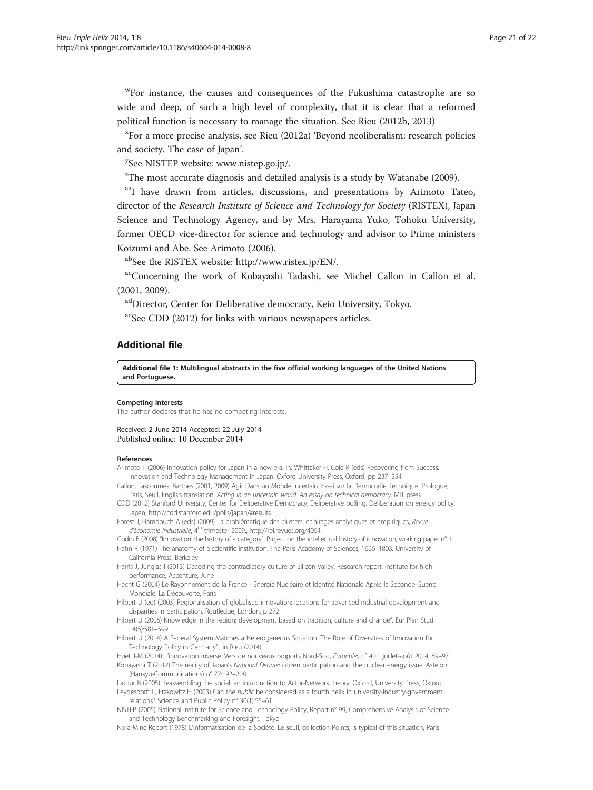<span id="page-20-0"></span>wFor instance, the causes and consequences of the Fukushima catastrophe are so wide and deep, of such a high level of complexity, that it is clear that a reformed political function is necessary to manage the situation. See Rieu [\(2012b](#page-21-0), [2013\)](#page-21-0)

x For a more precise analysis, see Rieu [\(2012a](#page-21-0)) 'Beyond neoliberalism: research policies and society. The case of Japan'.

<sup>y</sup>See NISTEP website: [www.nistep.go.jp/.](http://www.nistep.go.jp/)

<sup>2</sup>The most accurate diagnosis and detailed analysis is a study by Watanabe ([2009](#page-21-0)).

aaI have drawn from articles, discussions, and presentations by Arimoto Tateo, director of the Research Institute of Science and Technology for Society (RISTEX), Japan Science and Technology Agency, and by Mrs. Harayama Yuko, Tohoku University, former OECD vice-director for science and technology and advisor to Prime ministers Koizumi and Abe. See Arimoto (2006).

abSee the RISTEX website:<http://www.ristex.jp/EN/>.

acConcerning the work of Kobayashi Tadashi, see Michel Callon in Callon et al. (2001, 2009).

adDirector, Center for Deliberative democracy, Keio University, Tokyo.

aeSee CDD (2012) for links with various newspapers articles.

#### Additional file

[Additional file 1](http://dx.doi.org/10.1186/s40604-014-0008-8): Multilingual abstracts in the five official working languages of the United Nations and Portuguese.

#### Competing interests

The author declares that he has no competing interests.

#### Received: 2 June 2014 Accepted: 22 July 2014 Published online: 10 December 2014

#### References

- Arimoto T (2006) Innovation policy for Japan in a new era. In: Whittaker H, Cole R (eds) Recovering from Success: Innovation and Technology Management in Japan. Oxford University Press, Oxford, pp 237–254
- Callon, Lascoumes, Barthes (2001, 2009) Agir Dans un Monde Incertain. Essai sur la Démocratie Technique. Prologue, Paris, Seuil, English translation, Acting in an uncertain world. An essay on technical democracy, MIT press
- CDD (2012) Stanford University, Center for Deliberative Democracy, Deliberative polling. Deliberation on energy policy, Japan,<http://cdd.stanford.edu/polls/japan/#results>
- Forest J, Hamdouch A (eds) (2009) La problématique des clusters: éclairages analytiques et empiriques, Revue d'économie industrielle, 4<sup>th</sup> trimester 2009.,<http://rei.revues.org/4064>
- Godin B (2008) "Innovation: the history of a category", Project on the intellectual history of innovation, working paper n° 1 Hahn R (1971) The anatomy of a scientific institution. The Paris Academy of Sciences, 1666–1803. University of
- California Press, Berkeley Harris J, Junglas I (2013) Decoding the contradictory culture of Silicon Valley, Research report, Institute for high
- performance, Accenture, June Hecht G (2004) Le Rayonnement de la France - Energie Nucléaire et Identité Nationale Après la Seconde Guerre Mondiale. La Découverte, Paris
- Hilpert U (ed) (2003) Regionalisation of globalised innovation: locations for advanced industrial development and disparities in participation. Routledge, London, p 272
- Hilpert U (2006) Knowledge in the region: development based on tradition, culture and change". Eur Plan Stud 14(5):581–599

Hilpert U (2014) A Federal System Matches a Heterogeneous Situation. The Role of Diversities of Innovation for Technology Policy in Germany"., in Rieu (2014)

- Huet J-M (2014) L'innovation inverse. Vers de nouveaux rapports Nord-Sud, Futuribles n° 401, juillet-août 2014, 89–97 Kobayashi T (2012) The reality of Japan's National Debate: citizen participation and the nuclear energy issue. Asteion (Hankyu-Communications) n° 77:192–208
- Latour B (2005) Reassembling the social: an introduction to Actor-Network theory. Oxford, University Press, Oxford Leydesdorff L, Etzkowitz H (2003) Can the *public* be considered as a fourth helix in university-industry-government relations? Science and Public Policy n° 30(1):55–61

NISTEP (2005) National Institute for Science and Technology Policy, Report n° 99, Comprehensive Analysis of Science and Technology Benchmarking and Foresight. Tokyo

Nora-Minc Report (1978) L'informatisation de la Société. Le seuil, collection Points, is typical of this situation, Paris